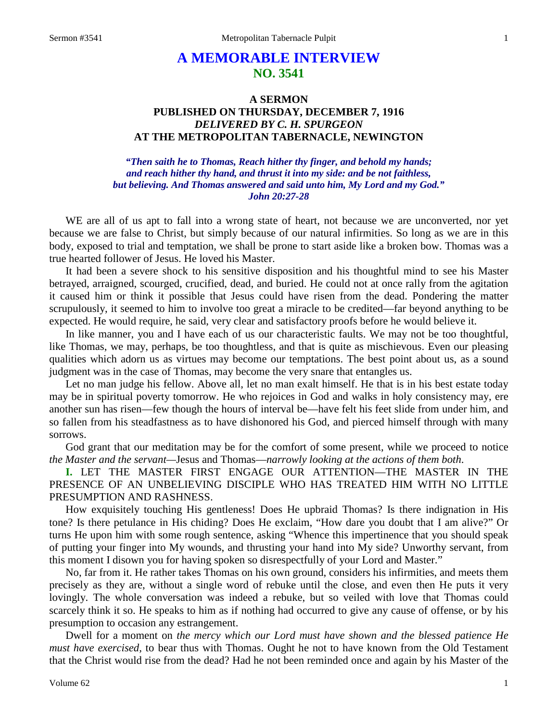# **A MEMORABLE INTERVIEW NO. 3541**

## **A SERMON PUBLISHED ON THURSDAY, DECEMBER 7, 1916** *DELIVERED BY C. H. SPURGEON* **AT THE METROPOLITAN TABERNACLE, NEWINGTON**

## *"Then saith he to Thomas, Reach hither thy finger, and behold my hands; and reach hither thy hand, and thrust it into my side: and be not faithless, but believing. And Thomas answered and said unto him, My Lord and my God." John 20:27-28*

WE are all of us apt to fall into a wrong state of heart, not because we are unconverted, nor yet because we are false to Christ, but simply because of our natural infirmities. So long as we are in this body, exposed to trial and temptation, we shall be prone to start aside like a broken bow. Thomas was a true hearted follower of Jesus. He loved his Master.

It had been a severe shock to his sensitive disposition and his thoughtful mind to see his Master betrayed, arraigned, scourged, crucified, dead, and buried. He could not at once rally from the agitation it caused him or think it possible that Jesus could have risen from the dead. Pondering the matter scrupulously, it seemed to him to involve too great a miracle to be credited—far beyond anything to be expected. He would require, he said, very clear and satisfactory proofs before he would believe it.

In like manner, you and I have each of us our characteristic faults. We may not be too thoughtful, like Thomas, we may, perhaps, be too thoughtless, and that is quite as mischievous. Even our pleasing qualities which adorn us as virtues may become our temptations. The best point about us, as a sound judgment was in the case of Thomas, may become the very snare that entangles us.

Let no man judge his fellow. Above all, let no man exalt himself. He that is in his best estate today may be in spiritual poverty tomorrow. He who rejoices in God and walks in holy consistency may, ere another sun has risen—few though the hours of interval be—have felt his feet slide from under him, and so fallen from his steadfastness as to have dishonored his God, and pierced himself through with many sorrows.

God grant that our meditation may be for the comfort of some present, while we proceed to notice *the Master and the servant—*Jesus and Thomas—*narrowly looking at the actions of them both*.

**I.** LET THE MASTER FIRST ENGAGE OUR ATTENTION—THE MASTER IN THE PRESENCE OF AN UNBELIEVING DISCIPLE WHO HAS TREATED HIM WITH NO LITTLE PRESUMPTION AND RASHNESS.

How exquisitely touching His gentleness! Does He upbraid Thomas? Is there indignation in His tone? Is there petulance in His chiding? Does He exclaim, "How dare you doubt that I am alive?" Or turns He upon him with some rough sentence, asking "Whence this impertinence that you should speak of putting your finger into My wounds, and thrusting your hand into My side? Unworthy servant, from this moment I disown you for having spoken so disrespectfully of your Lord and Master."

No, far from it. He rather takes Thomas on his own ground, considers his infirmities, and meets them precisely as they are, without a single word of rebuke until the close, and even then He puts it very lovingly. The whole conversation was indeed a rebuke, but so veiled with love that Thomas could scarcely think it so. He speaks to him as if nothing had occurred to give any cause of offense, or by his presumption to occasion any estrangement.

Dwell for a moment on *the mercy which our Lord must have shown and the blessed patience He must have exercised,* to bear thus with Thomas. Ought he not to have known from the Old Testament that the Christ would rise from the dead? Had he not been reminded once and again by his Master of the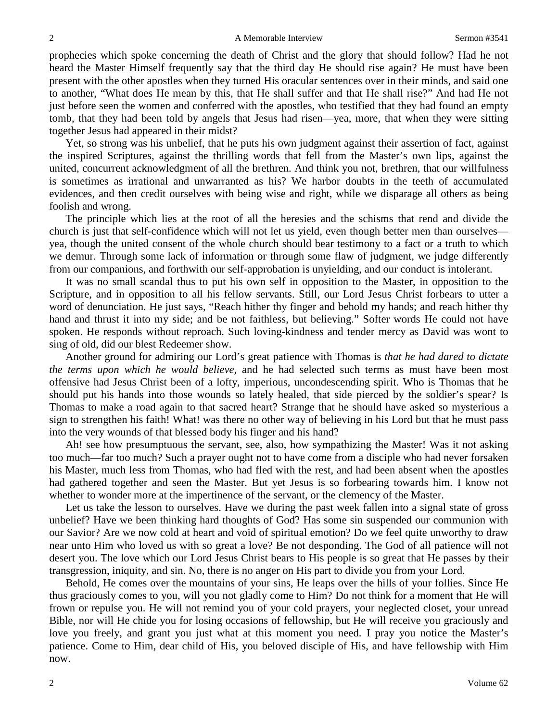prophecies which spoke concerning the death of Christ and the glory that should follow? Had he not heard the Master Himself frequently say that the third day He should rise again? He must have been present with the other apostles when they turned His oracular sentences over in their minds, and said one to another, "What does He mean by this, that He shall suffer and that He shall rise?" And had He not just before seen the women and conferred with the apostles, who testified that they had found an empty tomb, that they had been told by angels that Jesus had risen—yea, more, that when they were sitting together Jesus had appeared in their midst?

Yet, so strong was his unbelief, that he puts his own judgment against their assertion of fact, against the inspired Scriptures, against the thrilling words that fell from the Master's own lips, against the united, concurrent acknowledgment of all the brethren. And think you not, brethren, that our willfulness is sometimes as irrational and unwarranted as his? We harbor doubts in the teeth of accumulated evidences, and then credit ourselves with being wise and right, while we disparage all others as being foolish and wrong.

The principle which lies at the root of all the heresies and the schisms that rend and divide the church is just that self-confidence which will not let us yield, even though better men than ourselves yea, though the united consent of the whole church should bear testimony to a fact or a truth to which we demur. Through some lack of information or through some flaw of judgment, we judge differently from our companions, and forthwith our self-approbation is unyielding, and our conduct is intolerant.

It was no small scandal thus to put his own self in opposition to the Master, in opposition to the Scripture, and in opposition to all his fellow servants. Still, our Lord Jesus Christ forbears to utter a word of denunciation. He just says, "Reach hither thy finger and behold my hands; and reach hither thy hand and thrust it into my side; and be not faithless, but believing." Softer words He could not have spoken. He responds without reproach. Such loving-kindness and tender mercy as David was wont to sing of old, did our blest Redeemer show.

Another ground for admiring our Lord's great patience with Thomas is *that he had dared to dictate the terms upon which he would believe,* and he had selected such terms as must have been most offensive had Jesus Christ been of a lofty, imperious, uncondescending spirit. Who is Thomas that he should put his hands into those wounds so lately healed, that side pierced by the soldier's spear? Is Thomas to make a road again to that sacred heart? Strange that he should have asked so mysterious a sign to strengthen his faith! What! was there no other way of believing in his Lord but that he must pass into the very wounds of that blessed body his finger and his hand?

Ah! see how presumptuous the servant, see, also, how sympathizing the Master! Was it not asking too much—far too much? Such a prayer ought not to have come from a disciple who had never forsaken his Master, much less from Thomas, who had fled with the rest, and had been absent when the apostles had gathered together and seen the Master. But yet Jesus is so forbearing towards him. I know not whether to wonder more at the impertinence of the servant, or the clemency of the Master.

Let us take the lesson to ourselves. Have we during the past week fallen into a signal state of gross unbelief? Have we been thinking hard thoughts of God? Has some sin suspended our communion with our Savior? Are we now cold at heart and void of spiritual emotion? Do we feel quite unworthy to draw near unto Him who loved us with so great a love? Be not desponding. The God of all patience will not desert you. The love which our Lord Jesus Christ bears to His people is so great that He passes by their transgression, iniquity, and sin. No, there is no anger on His part to divide you from your Lord.

Behold, He comes over the mountains of your sins, He leaps over the hills of your follies. Since He thus graciously comes to you, will you not gladly come to Him? Do not think for a moment that He will frown or repulse you. He will not remind you of your cold prayers, your neglected closet, your unread Bible, nor will He chide you for losing occasions of fellowship, but He will receive you graciously and love you freely, and grant you just what at this moment you need. I pray you notice the Master's patience. Come to Him, dear child of His, you beloved disciple of His, and have fellowship with Him now.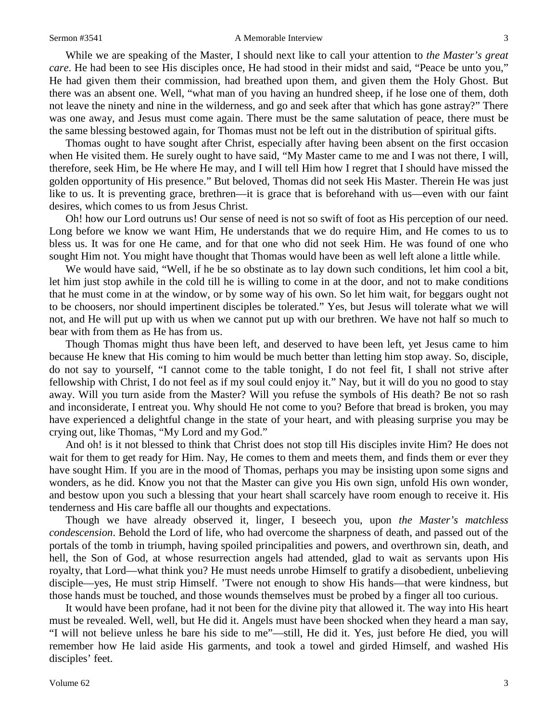### Sermon #3541 **A Memorable Interview** 3

While we are speaking of the Master, I should next like to call your attention to *the Master's great care*. He had been to see His disciples once, He had stood in their midst and said, "Peace be unto you," He had given them their commission, had breathed upon them, and given them the Holy Ghost. But there was an absent one. Well, "what man of you having an hundred sheep, if he lose one of them, doth not leave the ninety and nine in the wilderness, and go and seek after that which has gone astray?" There was one away, and Jesus must come again. There must be the same salutation of peace, there must be the same blessing bestowed again, for Thomas must not be left out in the distribution of spiritual gifts.

Thomas ought to have sought after Christ, especially after having been absent on the first occasion when He visited them. He surely ought to have said, "My Master came to me and I was not there, I will, therefore, seek Him, be He where He may, and I will tell Him how I regret that I should have missed the golden opportunity of His presence." But beloved, Thomas did not seek His Master. Therein He was just like to us. It is preventing grace, brethren—it is grace that is beforehand with us—even with our faint desires, which comes to us from Jesus Christ.

Oh! how our Lord outruns us! Our sense of need is not so swift of foot as His perception of our need. Long before we know we want Him, He understands that we do require Him, and He comes to us to bless us. It was for one He came, and for that one who did not seek Him. He was found of one who sought Him not. You might have thought that Thomas would have been as well left alone a little while.

We would have said, "Well, if he be so obstinate as to lay down such conditions, let him cool a bit, let him just stop awhile in the cold till he is willing to come in at the door, and not to make conditions that he must come in at the window, or by some way of his own. So let him wait, for beggars ought not to be choosers, nor should impertinent disciples be tolerated." Yes, but Jesus will tolerate what we will not, and He will put up with us when we cannot put up with our brethren. We have not half so much to bear with from them as He has from us.

Though Thomas might thus have been left, and deserved to have been left, yet Jesus came to him because He knew that His coming to him would be much better than letting him stop away. So, disciple, do not say to yourself, "I cannot come to the table tonight, I do not feel fit, I shall not strive after fellowship with Christ, I do not feel as if my soul could enjoy it." Nay, but it will do you no good to stay away. Will you turn aside from the Master? Will you refuse the symbols of His death? Be not so rash and inconsiderate, I entreat you. Why should He not come to you? Before that bread is broken, you may have experienced a delightful change in the state of your heart, and with pleasing surprise you may be crying out, like Thomas, "My Lord and my God."

And oh! is it not blessed to think that Christ does not stop till His disciples invite Him? He does not wait for them to get ready for Him. Nay, He comes to them and meets them, and finds them or ever they have sought Him. If you are in the mood of Thomas, perhaps you may be insisting upon some signs and wonders, as he did. Know you not that the Master can give you His own sign, unfold His own wonder, and bestow upon you such a blessing that your heart shall scarcely have room enough to receive it. His tenderness and His care baffle all our thoughts and expectations.

Though we have already observed it, linger, I beseech you, upon *the Master's matchless condescension*. Behold the Lord of life, who had overcome the sharpness of death, and passed out of the portals of the tomb in triumph, having spoiled principalities and powers, and overthrown sin, death, and hell, the Son of God, at whose resurrection angels had attended, glad to wait as servants upon His royalty, that Lord—what think you? He must needs unrobe Himself to gratify a disobedient, unbelieving disciple—yes, He must strip Himself. 'Twere not enough to show His hands—that were kindness, but those hands must be touched, and those wounds themselves must be probed by a finger all too curious.

It would have been profane, had it not been for the divine pity that allowed it. The way into His heart must be revealed. Well, well, but He did it. Angels must have been shocked when they heard a man say, "I will not believe unless he bare his side to me"—still, He did it. Yes, just before He died, you will remember how He laid aside His garments, and took a towel and girded Himself, and washed His disciples' feet.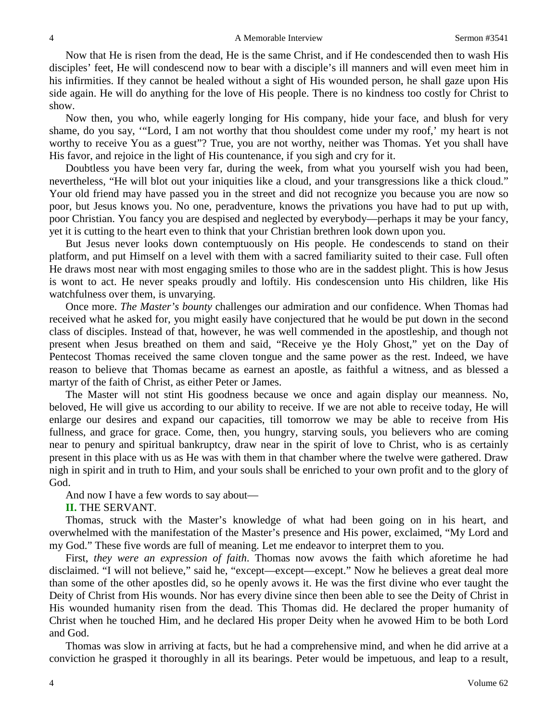Now that He is risen from the dead, He is the same Christ, and if He condescended then to wash His disciples' feet, He will condescend now to bear with a disciple's ill manners and will even meet him in his infirmities. If they cannot be healed without a sight of His wounded person, he shall gaze upon His side again. He will do anything for the love of His people. There is no kindness too costly for Christ to show.

Now then, you who, while eagerly longing for His company, hide your face, and blush for very shame, do you say, '"Lord, I am not worthy that thou shouldest come under my roof,' my heart is not worthy to receive You as a guest"? True, you are not worthy, neither was Thomas. Yet you shall have His favor, and rejoice in the light of His countenance, if you sigh and cry for it.

Doubtless you have been very far, during the week, from what you yourself wish you had been, nevertheless, "He will blot out your iniquities like a cloud, and your transgressions like a thick cloud." Your old friend may have passed you in the street and did not recognize you because you are now so poor, but Jesus knows you. No one, peradventure, knows the privations you have had to put up with, poor Christian. You fancy you are despised and neglected by everybody—perhaps it may be your fancy, yet it is cutting to the heart even to think that your Christian brethren look down upon you.

But Jesus never looks down contemptuously on His people. He condescends to stand on their platform, and put Himself on a level with them with a sacred familiarity suited to their case. Full often He draws most near with most engaging smiles to those who are in the saddest plight. This is how Jesus is wont to act. He never speaks proudly and loftily. His condescension unto His children, like His watchfulness over them, is unvarying.

Once more. *The Master's bounty* challenges our admiration and our confidence. When Thomas had received what he asked for, you might easily have conjectured that he would be put down in the second class of disciples. Instead of that, however, he was well commended in the apostleship, and though not present when Jesus breathed on them and said, "Receive ye the Holy Ghost," yet on the Day of Pentecost Thomas received the same cloven tongue and the same power as the rest. Indeed, we have reason to believe that Thomas became as earnest an apostle, as faithful a witness, and as blessed a martyr of the faith of Christ, as either Peter or James.

The Master will not stint His goodness because we once and again display our meanness. No, beloved, He will give us according to our ability to receive. If we are not able to receive today, He will enlarge our desires and expand our capacities, till tomorrow we may be able to receive from His fullness, and grace for grace. Come, then, you hungry, starving souls, you believers who are coming near to penury and spiritual bankruptcy, draw near in the spirit of love to Christ, who is as certainly present in this place with us as He was with them in that chamber where the twelve were gathered. Draw nigh in spirit and in truth to Him, and your souls shall be enriched to your own profit and to the glory of God.

And now I have a few words to say about—

**II.** THE SERVANT.

Thomas, struck with the Master's knowledge of what had been going on in his heart, and overwhelmed with the manifestation of the Master's presence and His power, exclaimed, "My Lord and my God." These five words are full of meaning. Let me endeavor to interpret them to you.

First, *they were an expression of faith*. Thomas now avows the faith which aforetime he had disclaimed. "I will not believe," said he, "except—except—except." Now he believes a great deal more than some of the other apostles did, so he openly avows it. He was the first divine who ever taught the Deity of Christ from His wounds. Nor has every divine since then been able to see the Deity of Christ in His wounded humanity risen from the dead. This Thomas did. He declared the proper humanity of Christ when he touched Him, and he declared His proper Deity when he avowed Him to be both Lord and God.

Thomas was slow in arriving at facts, but he had a comprehensive mind, and when he did arrive at a conviction he grasped it thoroughly in all its bearings. Peter would be impetuous, and leap to a result,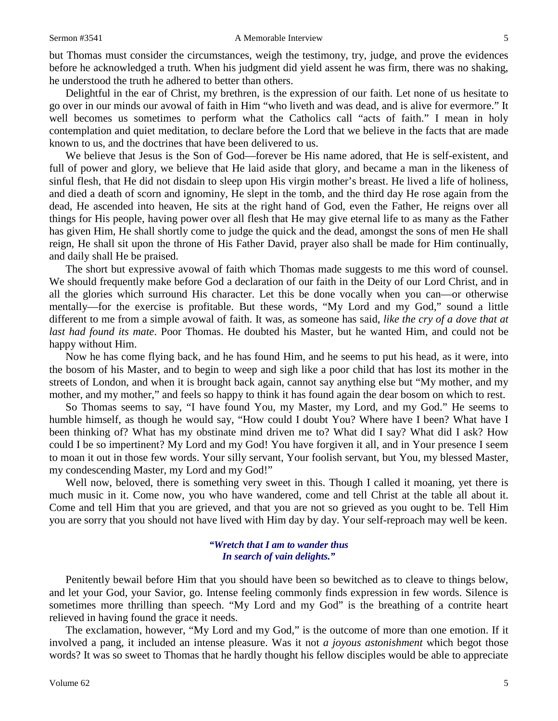### Sermon #3541 **A Memorable Interview** 5

but Thomas must consider the circumstances, weigh the testimony, try, judge, and prove the evidences before he acknowledged a truth. When his judgment did yield assent he was firm, there was no shaking, he understood the truth he adhered to better than others.

Delightful in the ear of Christ, my brethren, is the expression of our faith. Let none of us hesitate to go over in our minds our avowal of faith in Him "who liveth and was dead, and is alive for evermore." It well becomes us sometimes to perform what the Catholics call "acts of faith." I mean in holy contemplation and quiet meditation, to declare before the Lord that we believe in the facts that are made known to us, and the doctrines that have been delivered to us.

We believe that Jesus is the Son of God—forever be His name adored, that He is self-existent, and full of power and glory, we believe that He laid aside that glory, and became a man in the likeness of sinful flesh, that He did not disdain to sleep upon His virgin mother's breast. He lived a life of holiness, and died a death of scorn and ignominy, He slept in the tomb, and the third day He rose again from the dead, He ascended into heaven, He sits at the right hand of God, even the Father, He reigns over all things for His people, having power over all flesh that He may give eternal life to as many as the Father has given Him, He shall shortly come to judge the quick and the dead, amongst the sons of men He shall reign, He shall sit upon the throne of His Father David, prayer also shall be made for Him continually, and daily shall He be praised.

The short but expressive avowal of faith which Thomas made suggests to me this word of counsel. We should frequently make before God a declaration of our faith in the Deity of our Lord Christ, and in all the glories which surround His character. Let this be done vocally when you can—or otherwise mentally—for the exercise is profitable. But these words, "My Lord and my God," sound a little different to me from a simple avowal of faith. It was, as someone has said, *like the cry of a dove that at last had found its mate*. Poor Thomas. He doubted his Master, but he wanted Him, and could not be happy without Him.

Now he has come flying back, and he has found Him, and he seems to put his head, as it were, into the bosom of his Master, and to begin to weep and sigh like a poor child that has lost its mother in the streets of London, and when it is brought back again, cannot say anything else but "My mother, and my mother, and my mother," and feels so happy to think it has found again the dear bosom on which to rest.

So Thomas seems to say, "I have found You, my Master, my Lord, and my God." He seems to humble himself, as though he would say, "How could I doubt You? Where have I been? What have I been thinking of? What has my obstinate mind driven me to? What did I say? What did I ask? How could I be so impertinent? My Lord and my God! You have forgiven it all, and in Your presence I seem to moan it out in those few words. Your silly servant, Your foolish servant, but You, my blessed Master, my condescending Master, my Lord and my God!"

Well now, beloved, there is something very sweet in this. Though I called it moaning, yet there is much music in it. Come now, you who have wandered, come and tell Christ at the table all about it. Come and tell Him that you are grieved, and that you are not so grieved as you ought to be. Tell Him you are sorry that you should not have lived with Him day by day. Your self-reproach may well be keen.

## *"Wretch that I am to wander thus In search of vain delights."*

Penitently bewail before Him that you should have been so bewitched as to cleave to things below, and let your God, your Savior, go. Intense feeling commonly finds expression in few words. Silence is sometimes more thrilling than speech. "My Lord and my God" is the breathing of a contrite heart relieved in having found the grace it needs.

The exclamation, however, "My Lord and my God," is the outcome of more than one emotion. If it involved a pang, it included an intense pleasure. Was it not *a joyous astonishment* which begot those words? It was so sweet to Thomas that he hardly thought his fellow disciples would be able to appreciate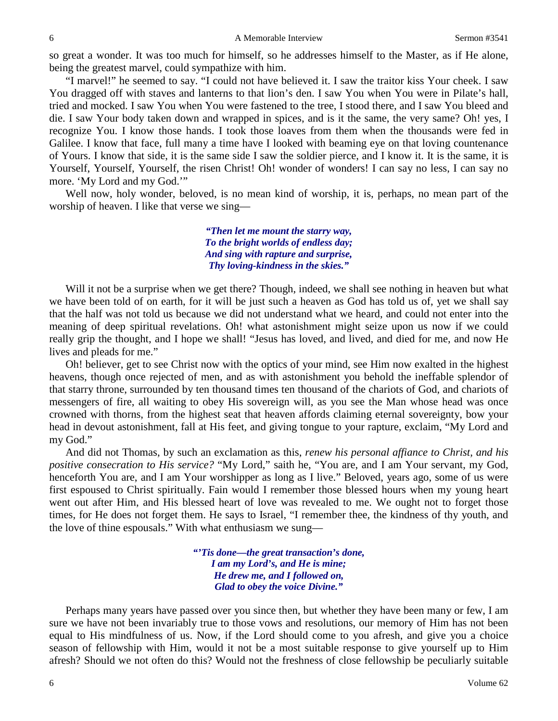6 A Memorable Interview Sermon #3541

so great a wonder. It was too much for himself, so he addresses himself to the Master, as if He alone, being the greatest marvel, could sympathize with him.

"I marvel!" he seemed to say. "I could not have believed it. I saw the traitor kiss Your cheek. I saw You dragged off with staves and lanterns to that lion's den. I saw You when You were in Pilate's hall, tried and mocked. I saw You when You were fastened to the tree, I stood there, and I saw You bleed and die. I saw Your body taken down and wrapped in spices, and is it the same, the very same? Oh! yes, I recognize You. I know those hands. I took those loaves from them when the thousands were fed in Galilee. I know that face, full many a time have I looked with beaming eye on that loving countenance of Yours. I know that side, it is the same side I saw the soldier pierce, and I know it. It is the same, it is Yourself, Yourself, Yourself, the risen Christ! Oh! wonder of wonders! I can say no less, I can say no more. 'My Lord and my God.'"

Well now, holy wonder, beloved, is no mean kind of worship, it is, perhaps, no mean part of the worship of heaven. I like that verse we sing—

> *"Then let me mount the starry way, To the bright worlds of endless day; And sing with rapture and surprise, Thy loving-kindness in the skies."*

Will it not be a surprise when we get there? Though, indeed, we shall see nothing in heaven but what we have been told of on earth, for it will be just such a heaven as God has told us of, yet we shall say that the half was not told us because we did not understand what we heard, and could not enter into the meaning of deep spiritual revelations. Oh! what astonishment might seize upon us now if we could really grip the thought, and I hope we shall! "Jesus has loved, and lived, and died for me, and now He lives and pleads for me."

Oh! believer, get to see Christ now with the optics of your mind, see Him now exalted in the highest heavens, though once rejected of men, and as with astonishment you behold the ineffable splendor of that starry throne, surrounded by ten thousand times ten thousand of the chariots of God, and chariots of messengers of fire, all waiting to obey His sovereign will, as you see the Man whose head was once crowned with thorns, from the highest seat that heaven affords claiming eternal sovereignty, bow your head in devout astonishment, fall at His feet, and giving tongue to your rapture, exclaim, "My Lord and my God."

And did not Thomas, by such an exclamation as this, *renew his personal affiance to Christ, and his positive consecration to His service?* "My Lord," saith he, "You are, and I am Your servant, my God, henceforth You are, and I am Your worshipper as long as I live." Beloved, years ago, some of us were first espoused to Christ spiritually. Fain would I remember those blessed hours when my young heart went out after Him, and His blessed heart of love was revealed to me. We ought not to forget those times, for He does not forget them. He says to Israel, "I remember thee, the kindness of thy youth, and the love of thine espousals." With what enthusiasm we sung—

> *"'Tis done—the great transaction's done, I am my Lord's, and He is mine; He drew me, and I followed on, Glad to obey the voice Divine."*

Perhaps many years have passed over you since then, but whether they have been many or few, I am sure we have not been invariably true to those vows and resolutions, our memory of Him has not been equal to His mindfulness of us. Now, if the Lord should come to you afresh, and give you a choice season of fellowship with Him, would it not be a most suitable response to give yourself up to Him afresh? Should we not often do this? Would not the freshness of close fellowship be peculiarly suitable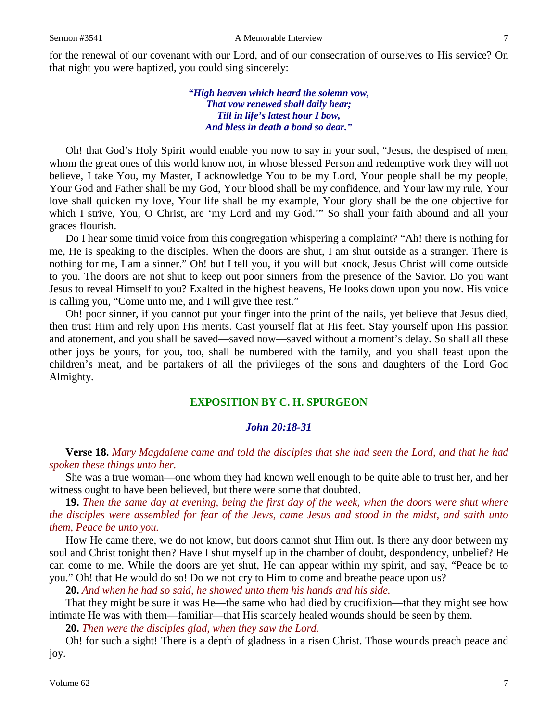*"High heaven which heard the solemn vow, That vow renewed shall daily hear; Till in life's latest hour I bow, And bless in death a bond so dear."*

Oh! that God's Holy Spirit would enable you now to say in your soul, "Jesus, the despised of men, whom the great ones of this world know not, in whose blessed Person and redemptive work they will not believe, I take You, my Master, I acknowledge You to be my Lord, Your people shall be my people, Your God and Father shall be my God, Your blood shall be my confidence, and Your law my rule, Your love shall quicken my love, Your life shall be my example, Your glory shall be the one objective for which I strive, You, O Christ, are 'my Lord and my God.'" So shall your faith abound and all your graces flourish.

Do I hear some timid voice from this congregation whispering a complaint? "Ah! there is nothing for me, He is speaking to the disciples. When the doors are shut, I am shut outside as a stranger. There is nothing for me, I am a sinner." Oh! but I tell you, if you will but knock, Jesus Christ will come outside to you. The doors are not shut to keep out poor sinners from the presence of the Savior. Do you want Jesus to reveal Himself to you? Exalted in the highest heavens, He looks down upon you now. His voice is calling you, "Come unto me, and I will give thee rest."

Oh! poor sinner, if you cannot put your finger into the print of the nails, yet believe that Jesus died, then trust Him and rely upon His merits. Cast yourself flat at His feet. Stay yourself upon His passion and atonement, and you shall be saved—saved now—saved without a moment's delay. So shall all these other joys be yours, for you, too, shall be numbered with the family, and you shall feast upon the children's meat, and be partakers of all the privileges of the sons and daughters of the Lord God Almighty.

## **EXPOSITION BY C. H. SPURGEON**

## *John 20:18-31*

**Verse 18.** *Mary Magdalene came and told the disciples that she had seen the Lord, and that he had spoken these things unto her.*

She was a true woman—one whom they had known well enough to be quite able to trust her, and her witness ought to have been believed, but there were some that doubted.

**19.** *Then the same day at evening, being the first day of the week, when the doors were shut where the disciples were assembled for fear of the Jews, came Jesus and stood in the midst, and saith unto them, Peace be unto you.*

How He came there, we do not know, but doors cannot shut Him out. Is there any door between my soul and Christ tonight then? Have I shut myself up in the chamber of doubt, despondency, unbelief? He can come to me. While the doors are yet shut, He can appear within my spirit, and say, "Peace be to you." Oh! that He would do so! Do we not cry to Him to come and breathe peace upon us?

**20.** *And when he had so said, he showed unto them his hands and his side.*

That they might be sure it was He—the same who had died by crucifixion—that they might see how intimate He was with them—familiar—that His scarcely healed wounds should be seen by them.

**20.** *Then were the disciples glad, when they saw the Lord.*

Oh! for such a sight! There is a depth of gladness in a risen Christ. Those wounds preach peace and joy.